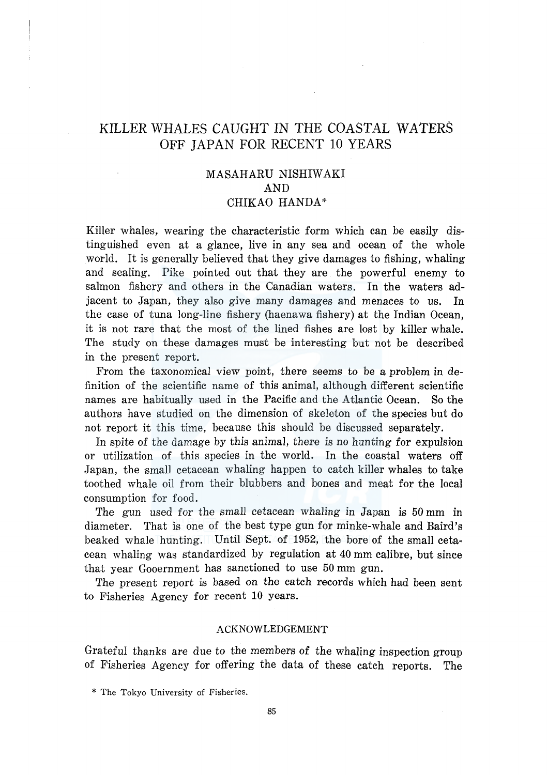# KILLER WHALES CAUGHT IN THE COASTAL WATERS OFF JAPAN FOR RECENT 10 YEARS

# MASAHARU NISHIW AKI AND CHIKAO HANDA\*

Killer whales, wearing the characteristic form which can be easily distinguished even at a glance, live in any sea and ocean of the whole world. It is generally believed that they give damages to fishing, whaling and sealing. Pike pointed out that they are the powerful enemy to salmon fishery and others in the Canadian waters. In the waters adjacent to Japan, they also give many damages and menaces to us. In the case of tuna long-line fishery (haenawa fishery) at the Indian Ocean, it is not rare that the most of the lined fishes are lost by killer whale. The study on these damages must be interesting but not be described in the present report.

From the taxonomical view point, there seems to be a problem in definition of the scientific name of this animal, although different scientific names are habitually used in the Pacific and the Atlantic Ocean. So the authors have studied on the dimension of skeleton of the species but do not report it this time, because this should be discussed separately.

In spite of the damage by this animal, there is no hunting for expulsion or utilization of this species in the world. In the coastal waters off Japan, the small cetacean whaling happen to catch killer whales to take toothed whale oil from their blubbers and bones and meat for the local consumption for food.

The gun used for the small cetacean whaling in Japan is 50 mm in diameter. That is one of the best type gun for minke-whale and Baird's beaked whale hunting. Until Sept. of 1952, the bore of the small cetacean whaling was standardized by regulation at 40 mm calibre, but since that year Gooernment has sanctioned to use 50 mm gun.

The present report is based on the catch records which had been sent to Fisheries Agency for recent 10 years.

# ACKNOWLEDGEMENT

Grateful thanks are due to the members of the whaling inspection group of Fisheries Agency for offering the data of these catch reports. The

<sup>\*</sup> The Tokyo University of Fisheries.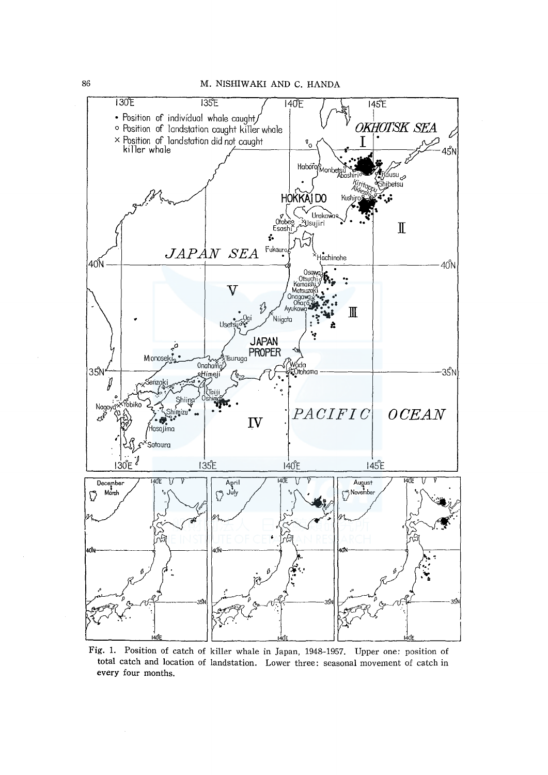86 M. NISHIWAKI AND C. HANDA



Fig. 1. Position of catch of killer whale in Japan, 1948-1957. Upper one: position of total catch and location of landstation. Lower three: seasonal movement of catch in every four months.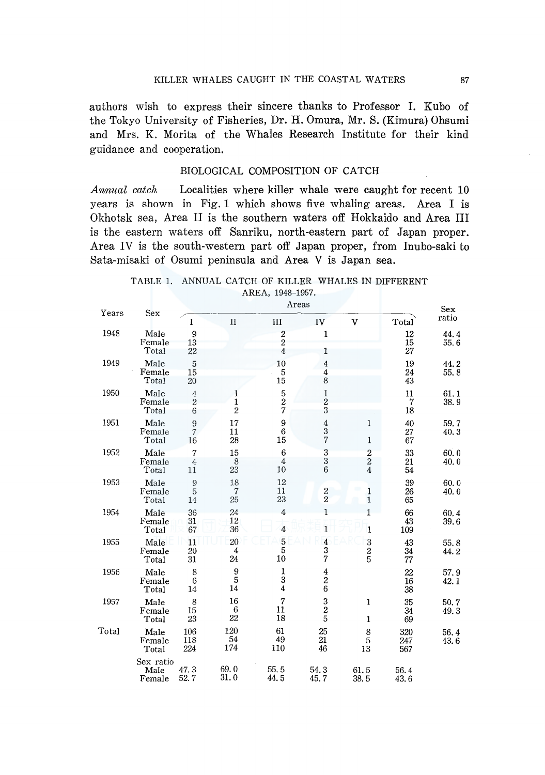authors wish to express their sincere thanks to Professor I. Kubo of the Tokyo University of Fisheries, Dr. H. Omura, Mr. S. (Kimura) Ohsumi and Mrs. K. Morita of the Whales Research Institute for their kind guidance and cooperation.

# BIOLOGICAL COMPOSITION OF CATCH

*Annual catch* Localities where killer whale were caught for recent 10 years is shown in Fig. 1 which shows five whaling areas. Area I is Okhotsk sea, Area II is the southern waters off Hokkaido and Area III is the eastern waters off Sanriku, north-eastern part of Japan proper. Area IV is the south-western part off Japan proper, from Inubo-saki to Sata-misaki of Osumi peninsula and Area V is Japan sea.

# TABLE 1. ANNUAL CATCH OF KILLER WHALES IN DIFFERENT AREA, 1948-1957.

| Years |                             |                                        | Areas                               |                                                      |                                     |                                          |                   |              |  |
|-------|-----------------------------|----------------------------------------|-------------------------------------|------------------------------------------------------|-------------------------------------|------------------------------------------|-------------------|--------------|--|
|       | Sex                         | I                                      | $_{\text{II}}$                      | III                                                  | IV                                  | v                                        | Total             | ratio        |  |
| 1948  | Male<br>Female<br>Total     | 9<br>13<br>22                          |                                     | $\boldsymbol{2}$<br>$\overline{2}$<br>$\overline{4}$ | $\mathbf{1}$<br>$\mathbf{1}$        |                                          | 12<br>15<br>27    | 44.4<br>55.6 |  |
| 1949  | Male<br>Female<br>Total     | 5<br>15<br>20                          |                                     | 10<br>5<br>15                                        | 4<br>$\overline{\bf 4}$<br>8        |                                          | 19<br>24<br>43    | 44.2<br>55.8 |  |
| 1950  | Male<br>Female<br>Total     | $\sqrt{4}$<br>$\boldsymbol{2}$<br>6    | 1<br>$\mathbf{1}$<br>$\overline{2}$ | $\frac{5}{2}$<br>$\overline{7}$                      | 1<br>$\overline{c}$<br>3            |                                          | 11<br>7<br>18     | 61.1<br>38.9 |  |
| 1951  | Male<br>Female<br>Total     | 9<br>$\overline{7}$<br>16              | 17<br>11<br>28                      | 9<br>$\,6$<br>15                                     | $\bf{4}$<br>$\frac{3}{7}$           | 1<br>$\mathbf{1}$                        | 40<br>27<br>67    | 59.7<br>40.3 |  |
| 1952  | Male<br>Female<br>Total     | $\overline{7}$<br>$\overline{4}$<br>11 | 15<br>8<br>23                       | $\sqrt{6}$<br>$\overline{4}$<br>10                   | $\frac{3}{3}$<br>6                  | $\frac{2}{2}$<br>$\overline{\mathbf{4}}$ | 33<br>21<br>54    | 60.0<br>40.0 |  |
| 1953  | Male<br>Female<br>Total     | $\boldsymbol{9}$<br>$\mathbf 5$<br>14  | 18<br>7<br>25                       | 12<br>11<br>23                                       | $\frac{2}{2}$                       | $\mathbf{1}$<br>$\mathbf{1}$             | 39<br>26<br>65    | 60.0<br>40.0 |  |
| 1954  | Male<br>Female<br>Total     | 36<br>31<br>67                         | 24<br>12<br>36                      | 4<br>$\overline{4}$                                  | $\mathbf{1}$<br>1                   | $\overline{1}$<br>$\mathbf{1}$           | 66<br>43<br>109   | 60.4<br>39.6 |  |
| 1955  | Male<br>Female<br>Total     | 11<br>20<br>31                         | 20<br>$\overline{4}$<br>24          | 5<br>5<br>10                                         | $\overline{\bf 4}$<br>$\frac{3}{7}$ | 3<br>$\frac{2}{5}$                       | 43<br>34<br>77    | 55.8<br>44.2 |  |
| 1956  | Male<br>Female<br>Total     | 8<br>6<br>14                           | 9<br>5<br>14                        | 1<br>3<br>$\overline{\bf{4}}$                        | 4<br>$\frac{2}{6}$                  |                                          | 22<br>16<br>38    | 57.9<br>42.1 |  |
| 1957  | Male<br>Female<br>Total     | 8<br>15<br>23                          | 16<br>6<br>22                       | $\overline{7}$<br>11<br>18                           | 3<br>$\frac{2}{5}$                  | $\mathbf{1}$<br>$\mathbf{1}$             | 35<br>34<br>69    | 50.7<br>49.3 |  |
| Total | Male<br>Female<br>Total     | 106<br>118<br>224                      | 120<br>54<br>174                    | 61<br>49<br>110                                      | 25<br>21<br>46                      | 8<br>$\bf 5$<br>13                       | 320<br>247<br>567 | 56.4<br>43.6 |  |
|       | Sex ratio<br>Male<br>Female | 47.3<br>52.7                           | 69.0<br>31.0                        | 55.5<br>44.5                                         | 54.3<br>45.7                        | 61.5<br>38.5                             | 56.4<br>43.6      |              |  |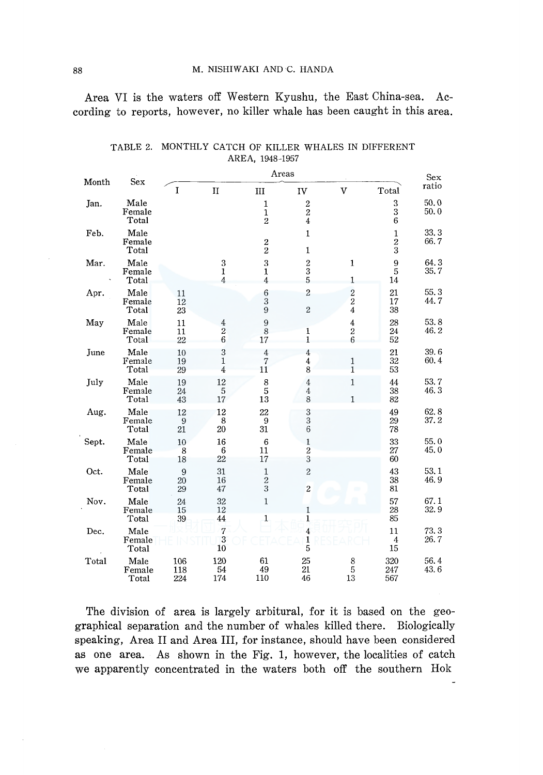Area VI is the waters off Western Kyushu, the East China-sea. According to reports, however, no killer whale has been caught in this area.

| Month | Sex                     | Areas                        |                                     |                                               |                                            |                                            |                                                           | <b>Sex</b>   |
|-------|-------------------------|------------------------------|-------------------------------------|-----------------------------------------------|--------------------------------------------|--------------------------------------------|-----------------------------------------------------------|--------------|
|       |                         | I                            | $\mathbf{I}$                        | Ш                                             | IV                                         | V                                          | Total                                                     | ratio        |
| Jan.  | Male<br>Female<br>Total |                              |                                     | $\mathbf{1}$<br>$\mathbf 1$<br>$\overline{2}$ | $\frac{2}{4}$                              |                                            | $\boldsymbol{3}$<br>$\begin{array}{c} 3 \\ 6 \end{array}$ | 50.0<br>50.0 |
| Feb.  | Male<br>Female<br>Total |                              |                                     | $\frac{2}{2}$                                 | $\mathbf 1$<br>1                           |                                            | $\mathbf 1$<br>$\frac{2}{3}$                              | 33.3<br>66.7 |
| Mar.  | Male<br>Female<br>Total |                              | 3<br>$\mathbf{1}$<br>$\overline{4}$ | 3<br>1<br>$\overline{4}$                      | $\begin{array}{c} 2 \\ 3 \\ 5 \end{array}$ | $\mathbf{1}$<br>$\mathbf{1}$               | $\frac{9}{5}$<br>14                                       | 64.3<br>35.7 |
| Apr.  | Male<br>Female<br>Total | 11<br>12<br>23               |                                     | $\boldsymbol{6}$<br>$\bar{3}$<br>$\bar{9}$    | $\overline{2}$<br>$\sqrt{2}$               | $\begin{array}{c} 2 \\ 2 \\ 4 \end{array}$ | 21<br>17<br>38                                            | 55.3<br>44.7 |
| May   | Male<br>Female<br>Total | 11<br>11<br>22               | $\frac{4}{2}$<br>$\sqrt{6}$         | 9<br>8<br>17                                  | $\frac{1}{1}$                              | $\frac{4}{2}$ 6                            | 28<br>24<br>52                                            | 53.8<br>46.2 |
| June  | Male<br>Female<br>Total | 10<br>19<br>29               | 3<br>$\mathbf 1$<br>$\overline{4}$  | $\overline{4}$<br>$\overline{7}$<br>11        | $\bf 4$<br>$\frac{4}{8}$                   | $\frac{1}{1}$                              | 21<br>32<br>53                                            | 39.6<br>60.4 |
| July  | Male<br>Female<br>Total | 19<br>24<br>43               | 12<br>$\bf 5$<br>17                 | $^8_5$<br>13                                  | 4<br>4<br>8                                | $\mathbf{1}$<br>1                          | 44<br>38<br>82                                            | 53.7<br>46.3 |
| Aug.  | Male<br>Female<br>Total | 12<br>$\boldsymbol{9}$<br>21 | 12<br>8<br>20                       | 22<br>9<br>31                                 | $\frac{3}{3}$<br>$\,6$                     |                                            | 49<br>29<br>78                                            | 62.8<br>37.2 |
| Sept. | Male<br>Female<br>Total | $10\,$<br>8<br>18            | 16<br>6<br>22                       | $\,6$<br>11<br>17                             | $\,1$<br>$\frac{2}{3}$                     |                                            | 33<br>27<br>60                                            | 55.0<br>45.0 |
| Oct.  | Male<br>Female<br>Total | 9<br>20<br>29                | 31<br>16<br>47                      | $\,1\,$<br>$\frac{2}{3}$                      | $\overline{c}$<br>$\overline{2}$           |                                            | 43<br>38<br>81                                            | 53.1<br>46.9 |
| Nov.  | Male<br>Female<br>Total | 24<br>15<br>39               | 32<br>12<br>44                      | $\mathbf 1$<br>1                              | 1<br>1                                     |                                            | 57<br>28<br>85                                            | 67.1<br>32.9 |
| Dec.  | Male<br>Female<br>Total |                              | $\overline{7}$<br>$\frac{3}{10}$    |                                               | 4<br>$\frac{1}{5}$                         |                                            | 11<br>4<br>15                                             | 73.3<br>26.7 |
| Total | Male<br>Female<br>Total | 106<br>118<br>224            | 120<br>54<br>174                    | 61<br>49<br>110                               | 25<br>21<br>46                             | $^8_5$<br>13                               | 320<br>247<br>567                                         | 56.4<br>43.6 |

TABLE 2. MONTHLY CATCH OF KILLER WHALES IN DIFFERENT AREA, 1948-1957

The division of area is largely arbitural, for it is based on the geographical separation and the number of whales killed there. Biologically speaking, Area II and Area III, for instance, should have been considered as one area. As shown in the Fig. 1, however, the localities of catch we apparently concentrated in the waters both off the southern Hok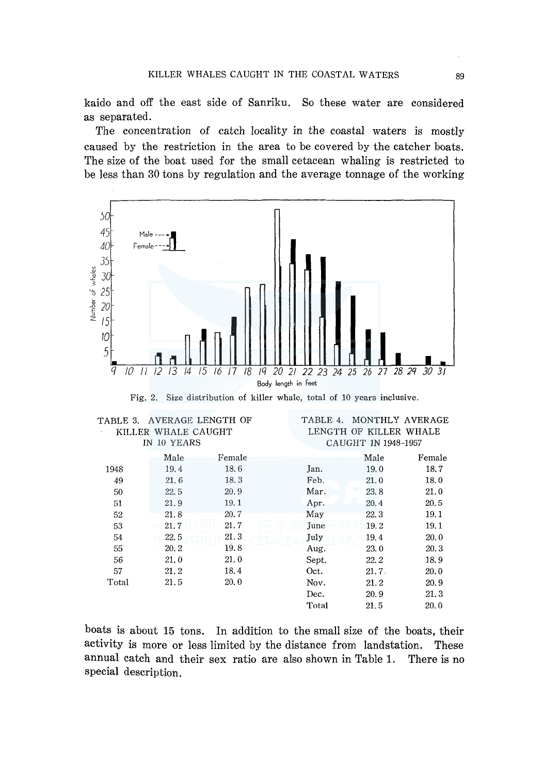kaido and off the east side of Sanriku. So these water are considered as separated.

The concentration of catch locality in the coastal waters is mostly caused by the restriction in the area to be covered by the catcher boats. The size of the boat used for the small cetacean whaling is restricted to be less than 30 tons by regulation and the average tonnage of the working



Fig. 2. Size distribution of killer whale, total of 10 years inclusive.

| TABLE 3.    |                     | AVERAGE LENGTH OF | TABLE 4. |                        | MONTHLY AVERAGE |  |  |
|-------------|---------------------|-------------------|----------|------------------------|-----------------|--|--|
|             | KILLER WHALE CAUGHT |                   |          | LENGTH OF KILLER WHALE |                 |  |  |
| IN 10 YEARS |                     |                   |          | CAUGHT IN 1948-1957    |                 |  |  |
|             | Male                | Female            |          | Male                   | Female          |  |  |
| 1948        | 19.4                | 18.6              | Jan.     | 19.0                   | 18.7            |  |  |
| 49          | 21.6                | 18.3              | Feb.     | 21.0                   | 18.0            |  |  |
| 50          | 22.5                | 20.9              | Mar.     | 23.8                   | 21.0            |  |  |
| 51          | 21.9                | 19.1              | Apr.     | 20.4                   | 20.5            |  |  |
| 52          | 21.8                | 20.7              | May      | 22.3                   | 19.1            |  |  |
| 53          | 21.7                | 21.7              | June     | 19.2                   | 19.1            |  |  |
| 54          | 22.5                | 21.3              | July     | 19.4                   | 20.0            |  |  |
| 55          | 20.2                | 19.8              | Aug.     | 23.0                   | 20.3            |  |  |
| 56          | 21.0                | 21.0              | Sept.    | 22.2                   | 18.9            |  |  |
| 57          | 21.2                | 18.4              | Oct.     | 21.7.                  | 20.0            |  |  |
| Total       | 21.5                | 20.0              | Nov.     | 21.2                   | 20.9            |  |  |
|             |                     |                   | Dec.     | 20.9                   | 21.3            |  |  |
|             |                     |                   | Total    | 21.5                   | 20.0            |  |  |

boats is about 15 tons. In addition to the small size of the boats, their activity is more or less limited by the distance from landstation. These annual catch and their sex ratio are also shown in Table 1. There is no special description.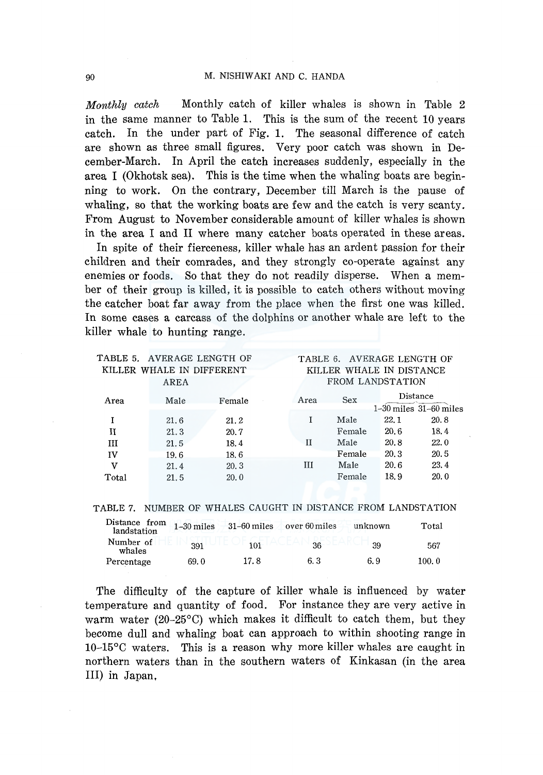#### 90 M. NISHIWAKI AND C. HANDA

*Monthly catch* Monthly catch of killer whales is shown in Table 2 in the same manner to Table 1. This is the sum of the recent 10 years catch. In the under part of Fig. 1. The seasonal difference of catch are shown as three small figures. Very poor catch was shown in December-March. In April the catch increases suddenly, especially in the area I (Okhotsk sea). This is the time when the whaling boats are beginning to work. On the contrary, December till March is the pause of whaling, so that the working boats are few and the catch is very scanty. From August to November considerable amount of killer whales is shown in the area I and II where many catcher boats operated in these areas.

In spite of their fierceness, killer whale has an ardent passion for their children and their comrades, and they strongly co-operate against any enemies or foods. So that they do not readily disperse. When a member of their group is killed, it is possible to catch others without moving the catcher boat far away from the place when the first one was killed. In some cases a carcass of the dolphins or another whale are left to the killer whale to hunting range.

| TABLE 5. AVERAGE LENGTH OF |             |        |                  |                          | TABLE 6. AVERAGE LENGTH OF |      |                            |
|----------------------------|-------------|--------|------------------|--------------------------|----------------------------|------|----------------------------|
| KILLER WHALE IN DIFFERENT  |             |        |                  | KILLER WHALE IN DISTANCE |                            |      |                            |
|                            | <b>AREA</b> |        | FROM LANDSTATION |                          |                            |      |                            |
| Area                       | Male        | Female |                  | Area                     | <b>Sex</b>                 |      | Distance                   |
|                            |             |        |                  |                          |                            |      | $1-30$ miles $31-60$ miles |
|                            | 21.6        | 21.2   |                  |                          | Male                       | 22.1 | 20.8                       |
| и                          | 21.3        | 20.7   |                  |                          | Female                     | 20.6 | 18.4                       |
| Ш                          | 21.5        | 18.4   |                  | Н                        | Male                       | 20.8 | 22.0                       |
| IV                         | 19.6        | 18.6   |                  |                          | Female                     | 20.3 | 20.5                       |
| v                          | 21.4        | 20.3   |                  | Ш                        | Male                       | 20.6 | 23.4                       |
| Total                      | 21.5        | 20.0   |                  |                          | Female                     | 18.9 | 20.0                       |

# TABLE 7. NUMBER OF WHALES CAUGHT IN DISTANCE FROM LANDSTATION

| Distance from<br>landstation | $1-30$ miles | $-31-60$ miles | over 60 miles | unknown | Total  |
|------------------------------|--------------|----------------|---------------|---------|--------|
| Number of<br>whales          | 391          | 101            | 36            | 39      | 567    |
| Percentage                   | 69. O        | 17.8           | 6. 3          | 6.9     | 100. 0 |

The difficulty of the capture of killer whale is influenced by water temperature and quantity of food. For instance they are very active in warm water (20-25°C) which makes it difficult to catch them, but they become dull and whaling boat can approach to within shooting range in 10-15°C waters. This is a reason why more killer whales are caught in northern waters than in the southern waters of Kinkasan (in the area III) in Japan.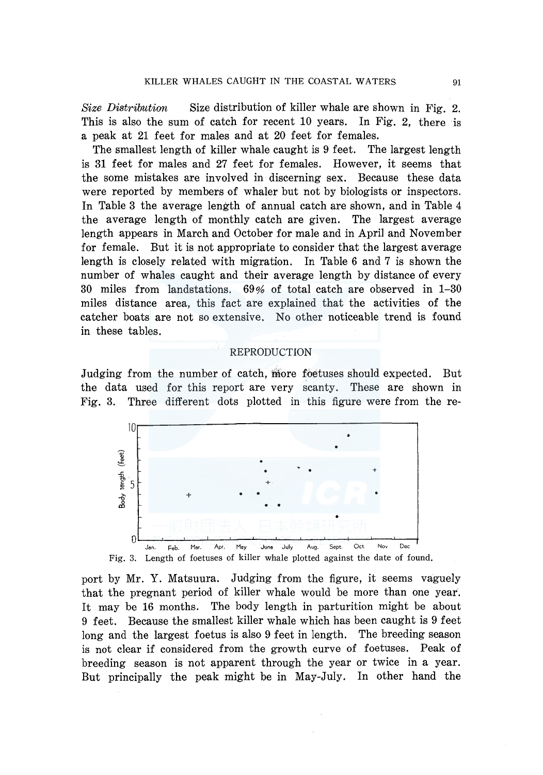*Size Distribution* Size distribution of killer whale are shown in Fig. 2. This is also the sum of catch for recent 10 years. In Fig. 2, there is a peak at 21 feet for males and at 20 feet for females.

The smallest length of killer whale caught is 9 feet. The largest length is 31 feet for males and 27 feet for females. However, it seems that the some mistakes are involved in discerning sex. Because these data were reported by members of whaler but not by biologists or inspectors. In Table 3 the average length of annual catch are shown, and in Table 4 the average length of monthly catch are given. The largest average length appears in March and October for male and in April and November for female. But it is not appropriate to consider that the largest average length is closely related with migration. In Table 6 and 7 is shown the number of whales caught and their average length by distance of every 30 miles from landstations. 69% of total catch are observed in 1-30 miles distance area, this fact are explained that the activities of the catcher boats are not so extensive. No other noticeable trend is found in these tables.

#### REPRODUCTION

Judging from the number of catch, more foetuses should expected. But the data used for this report are very scanty. These are shown in Fig. 3. Three different dots plotted in this figure were from the re-



port by Mr. Y. Matsuura. Judging from the figure, it seems vaguely that the pregnant period of killer whale would be more than one year. It may be 16 months. The body length in parturition might be about 9 feet. Because the smallest killer whale which has been caught is 9 feet long and the largest foetus is also 9 feet in length. The breeding season is not clear if considered from the growth curve of foetuses. Peak of breeding season is not apparent through the year or twice in a year. But principally the peak might be in May-July. In other hand the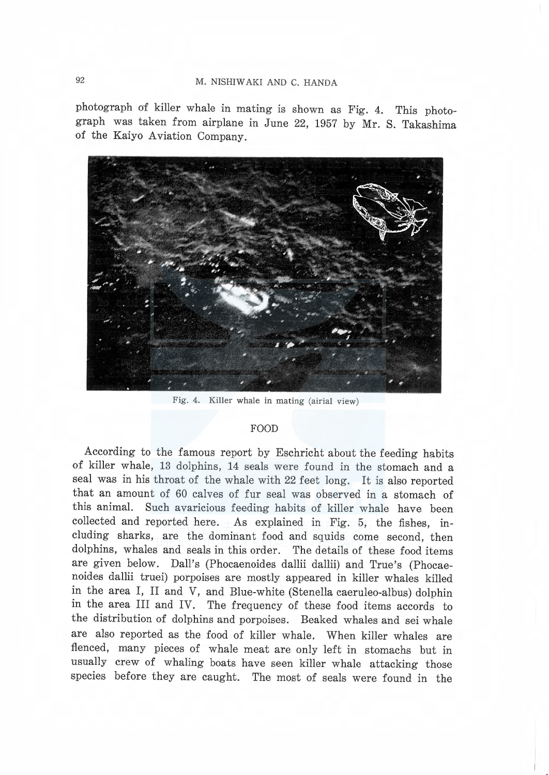photograph of killer whale in mating is shown as Fig. 4. This photo graph was taken from airplane in June 22, 1957 by Mr. S. Takashima of the Kaiyo Aviation Company.



Fig. 4. Killer whale in mating (airial view)

# FOOD

According to the famous report by Eschricht about the feeding habits of killer whale, 13 dolphins, 14 seals were found in the stomach and a seal was in his throat of the whale with 22 feet long. It is also reported that an amount of 60 calves of fur seal was observed in a stomach of this animal. Such avaricious feeding habits of killer whale have been collected and reported here. As explained in Fig. 5, the fishes, ineluding sharks, are the dominant food and squids come second, then dolphins, whales and seals in this order. The details of these food items are given below. Dall's (Phocaenoides dallii dallii) and True's (Phocaenoides dallii truei) porpoises are mostly appeared in killer whales killed in the area I, II and V, and Blue-white (Stenella caeruleo-albus) dolphin in the area III and IV. The frequency of these food items accords to the distribution of dolphins and porpoises. Beaked whales and sei whale are also reported as the food of killer whale. When killer whales are flenced, many pieces of whale meat are only left in stomachs but in usually crew of whaling boats have seen killer whale attacking those species before they are caught. The most of seals were found in the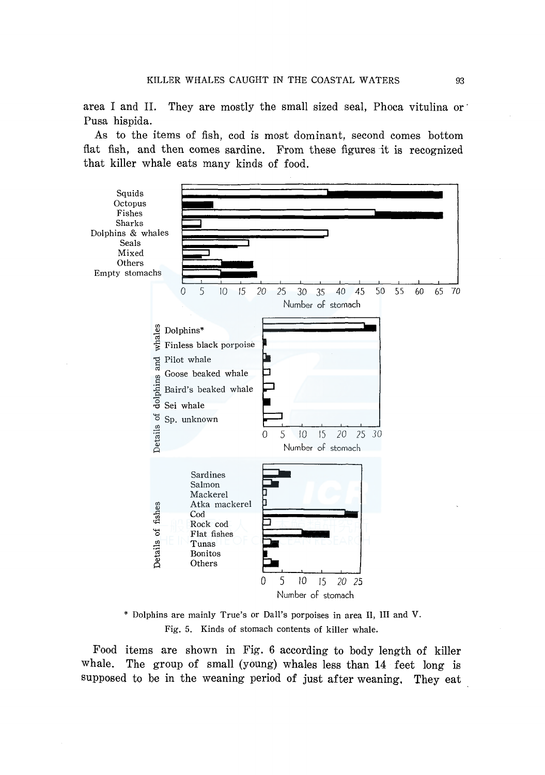area I and II. They are mostly the small sized seal, Phoca vitulina or Pusa hispida.

As to the items of fish, cod is most dominant, second comes bottom flat fish, and then comes sardine. From these figures it is recognized that killer whale eats many kinds of food.



\* Dolphins are mainly True's or Dall's porpoises in area II, III and V. Fig. 5. Kinds of stomach contents of killer whale.

Food items are shown in Fig. 6 according to body length of killer whale. The group of small (young) whales less than 14 feet long is supposed to be in the weaning period of just after weaning, They eat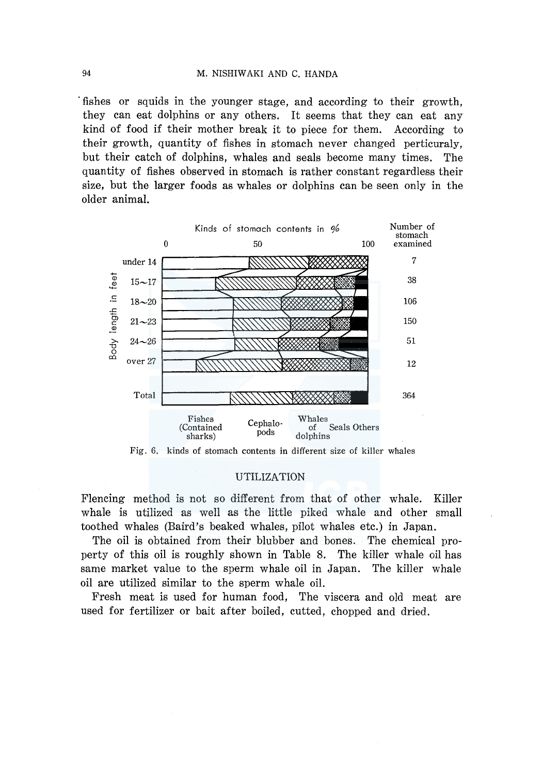# 94 M. NISHIW AKI AND C. RANDA

·fishes or squids in the younger stage, and according to their growth, they can eat dolphins or any others. It seems that they can eat any kind of food if their mother break it to piece for them. According to their growth, quantity of fishes in stomach never changed perticuraly, but their catch of dolphins, whales and seals become many times. The quantity of fishes observed in stomach is rather constant regardless their size, but the larger foods as whales or dolphins can be seen only in the older animal.



Fig. 6. kinds of stomach contents in different size of killer whales

# UTILIZATION

Flencing method is not so different from that of other whale. Killer whale is utilized as well as the little piked whale and other small toothed whales (Baird's beaked whales, pilot whales etc.) in Japan.

The oil is obtained from their blubber and bones. The chemical property of this oil is roughly shown in Table 8. The killer whale oil has same market value to the sperm whale oil in Japan. The killer whale oil are utilized similar to the sperm whale oil.

Fresh meat is used for human food, The viscera and old meat are used for fertilizer or bait after boiled, cutted, chopped and dried.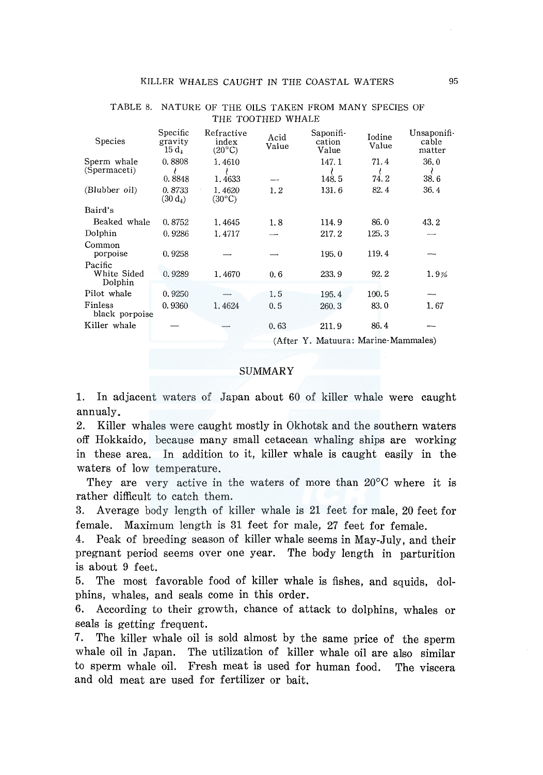| Species                           | Specific<br>gravity<br>$15 d_4$ | Refractive<br>index<br>$(20^{\circ}C)$ | Acid<br>Value        | Saponifi-<br>cation<br>Value | Iodine<br>Value                                           | Unsaponifi-<br>cable<br>matter |
|-----------------------------------|---------------------------------|----------------------------------------|----------------------|------------------------------|-----------------------------------------------------------|--------------------------------|
| Sperm whale<br>(Spermaceti)       | 0.8808<br>0.8848                | 1.4610<br>1.4633                       |                      | 147.1<br>148.5               | 71.4<br>74.2                                              | 36.0<br>38.6                   |
| (Blubber oil)                     | 0.8733<br>(30 d <sub>4</sub> )  | 1.4620<br>$(30^{\circ}C)$              | 1.2                  | 131.6                        | 82.4                                                      | 36.4                           |
| Baird's                           |                                 |                                        |                      |                              |                                                           |                                |
| Beaked whale                      | 0.8752                          | 1.4645                                 | 1.8                  | 114.9                        | 86.0                                                      | 43.2                           |
| Dolphin                           | 0.9286                          | 1.4717                                 | وسرب                 | 217.2                        | 125.3                                                     | ---                            |
| Common                            |                                 |                                        |                      |                              |                                                           |                                |
| porpoise                          | 0.9258                          |                                        |                      | 195.0                        | 119.4                                                     |                                |
| Pacific<br>White Sided<br>Dolphin | 0.9289                          | 1.4670                                 | 0.6                  | 233.9                        | 92.2                                                      | 1.9%                           |
| Pilot whale                       | 0.9250                          |                                        | 1.5                  | 195.4                        | 100.5                                                     |                                |
| <b>Finless</b><br>black porpoise  | 0.9360                          | 1.4624                                 | 0.5                  | 260.3                        | 83.0                                                      | 1.67                           |
| Killer whale                      |                                 |                                        | 0.63                 | 211.9                        | 86.4                                                      |                                |
|                                   |                                 |                                        | $\sim$ $\sim$ $\sim$ |                              | $\mathbf{r}$ , $\mathbf{r}$ , $\mathbf{r}$ , $\mathbf{r}$ |                                |

# TABLE 8. NATURE OF THE OILS TAKEN FROM MANY SPECIES OF THE TOOTHED WHALE

(After Y. Matuura: Marine-Mammales)

# SUMMARY

1. In adjacent waters of Japan about 60 of killer whale were caught annualy.

2. Killer whales were caught mostly in Okhotsk and the southern waters off Hokkaido, because many small cetacean whaling ships are working in these area. In addition to it, killer whale is caught easily in the waters of low temperature.

They are very active in the waters of more than 20°C where it is rather difficult to catch them.

3. Average body length of killer whale is 21 feet for male, 20 feet for female. Maximum length is 31 feet for male, 27 feet for female.

4. Peak of breeding season of killer whale seems in May-July, and their pregnant period seems over one year. The body length in parturition is about 9 feet.

5. The most favorable food of killer whale is fishes, and squids, dolphins, whales, and seals come in this order.

6. According to their growth, chance of attack to dolphins, whales or seals is getting frequent.

7. The killer whale oil is sold almost by the same price of the sperm whale oil in Japan. The utilization of killer whale oil are also similar to sperm whale oil. Fresh meat is used for human food. The viscera and old meat are used for fertilizer or bait.